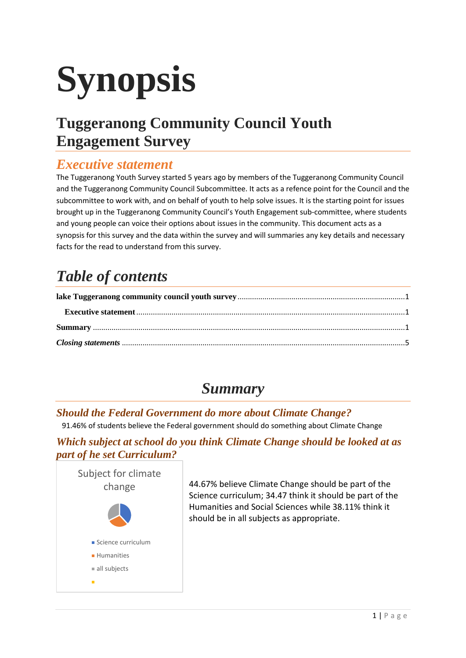# **Synopsis**

# <span id="page-0-0"></span>**Tuggeranong Community Council Youth Engagement Survey**

### <span id="page-0-1"></span>*Executive statement*

The Tuggeranong Youth Survey started 5 years ago by members of the Tuggeranong Community Council and the Tuggeranong Community Council Subcommittee. It acts as a refence point for the Council and the subcommittee to work with, and on behalf of youth to help solve issues. It is the starting point for issues brought up in the Tuggeranong Community Council's Youth Engagement sub-committee, where students and young people can voice their options about issues in the community. This document acts as a synopsis for this survey and the data within the survey and will summaries any key details and necessary facts for the read to understand from this survey.

# *Table of contents*

## *Summary*

#### <span id="page-0-2"></span>*Should the Federal Government do more about Climate Change?*

91.46% of students believe the Federal government should do something about Climate Change

#### *Which subject at school do you think Climate Change should be looked at as part of he set Curriculum?*



44.67% believe Climate Change should be part of the Science curriculum; 34.47 think it should be part of the Humanities and Social Sciences while 38.11% think it should be in all subjects as appropriate.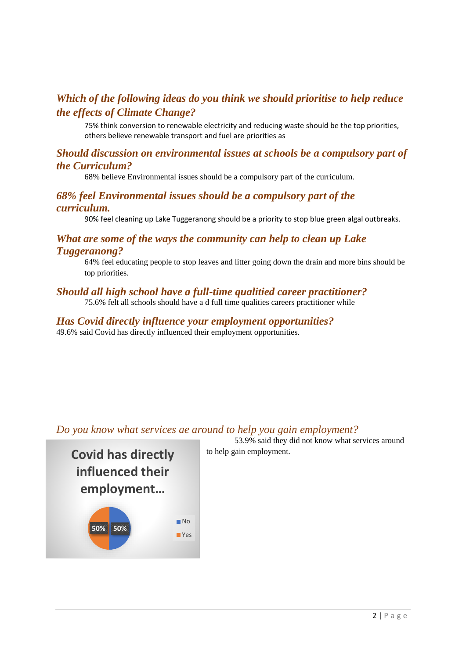#### *Which of the following ideas do you think we should prioritise to help reduce the effects of Climate Change?*

75% think conversion to renewable electricity and reducing waste should be the top priorities, others believe renewable transport and fuel are priorities as

#### *Should discussion on environmental issues at schools be a compulsory part of the Curriculum?*

68% believe Environmental issues should be a compulsory part of the curriculum.

#### *68% feel Environmental issues should be a compulsory part of the curriculum.*

90% feel cleaning up Lake Tuggeranong should be a priority to stop blue green algal outbreaks.

#### *What are some of the ways the community can help to clean up Lake Tuggeranong?*

64% feel educating people to stop leaves and litter going down the drain and more bins should be top priorities.

#### *Should all high school have a full-time qualitied career practitioner?*

75.6% felt all schools should have a d full time qualities careers practitioner while

#### *Has Covid directly influence your employment opportunities?* 49.6% said Covid has directly influenced their employment opportunities.

#### *Do you know what services ae around to help you gain employment?*



53.9% said they did not know what services around to help gain employment.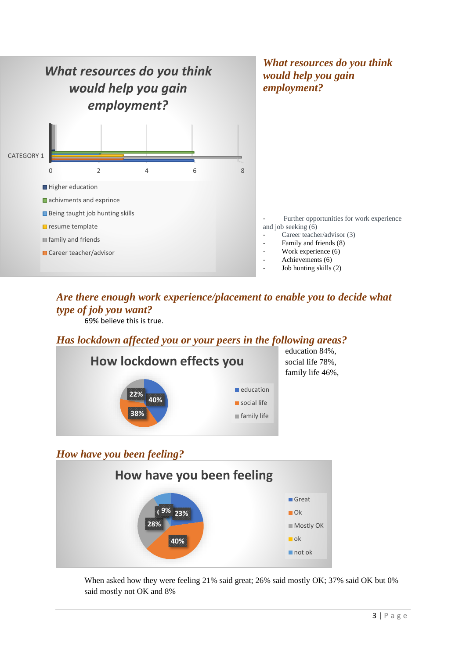

#### *Are there enough work experience/placement to enable you to decide what type of job you want?*

69% believe this is true.

#### *Has lockdown affected you or your peers in the following areas?*



#### *How have you been feeling?*



When asked how they were feeling 21% said great; 26% said mostly OK; 37% said OK but 0% said mostly not OK and 8%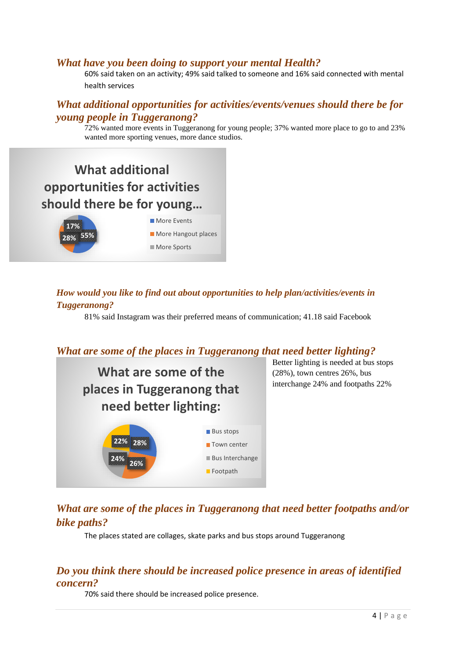#### *What have you been doing to support your mental Health?*

60% said taken on an activity; 49% said talked to someone and 16% said connected with mental health services

#### *What additional opportunities for activities/events/venues should there be for young people in Tuggeranong?*

72% wanted more events in Tuggeranong for young people; 37% wanted more place to go to and 23% wanted more sporting venues, more dance studios.



#### *How would you like to find out about opportunities to help plan/activities/events in Tuggeranong?*

81% said Instagram was their preferred means of communication; 41.18 said Facebook

#### *What are some of the places in Tuggeranong that need better lighting?*



Better lighting is needed at bus stops (28%), town centres 26%, bus interchange 24% and footpaths 22%

#### *What are some of the places in Tuggeranong that need better footpaths and/or bike paths?*

The places stated are collages, skate parks and bus stops around Tuggeranong

#### *Do you think there should be increased police presence in areas of identified concern?*

70% said there should be increased police presence.